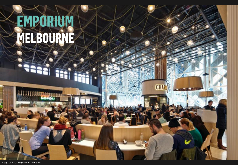# **EMPORIUM MELBOURNE**

**CHA** 

*Image source: Emporium Melbourne*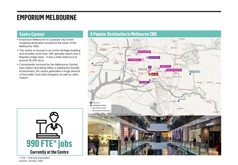## **EMPORIUM MELBOURNE**

- **Emporium Melbourne is a popular city centre** shopping destination located at the heart of the Melbourne CBD.
- The centre is housed in an iconic heritage building and includes more than 195 specialty stores and a flagship Uniqlo store. It has a total retail GLA of around 45,200 sq.m.
- **EX Conveniently serviced by the Melbourne Central** train station and being within a pedestrian friendly environment, the centre generates a huge amount of foot traffic from both shoppers as well as other visitors.



### **Centre Context A Popular Destination in Melbourne CBD**



*\* FTE = Full-time Equivalent Source: Vicinity; Urbis*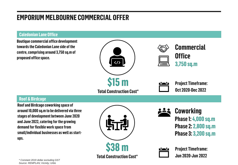# **EMPORIUM MELBOURNE COMMERCIAL OFFER**

#### **Caledonian Lane Office**

**\$15 m Total Construction Cost\* Commercial Office 3,750 sq.m Project Timeframe: Oct 2020-Dec 2022 \$38 m Coworking Phase 1: 4,000 sq.m Phase 2: 2,800 sq.m Phase 3: 3,200 sq.m Roof & Birdcage Project Timeframe: Boutique commercial office development towards the Caledonian Lane side of the centre, comprising around 3,750 sq.m of proposed office space. Roof and Birdcage coworking space of around 10,000 sq.m to be delivered via three stages of development between June 2020 and June 2022, catering for the growing demand for flexible work space from small/individual businesses as well as startups.**

**Total Construction Cost\***

**Jun 2020-Jun 2022**

*\* Constant 2019 dollar excluding GST Source: REMPLAN; Vicinity; Urbis*